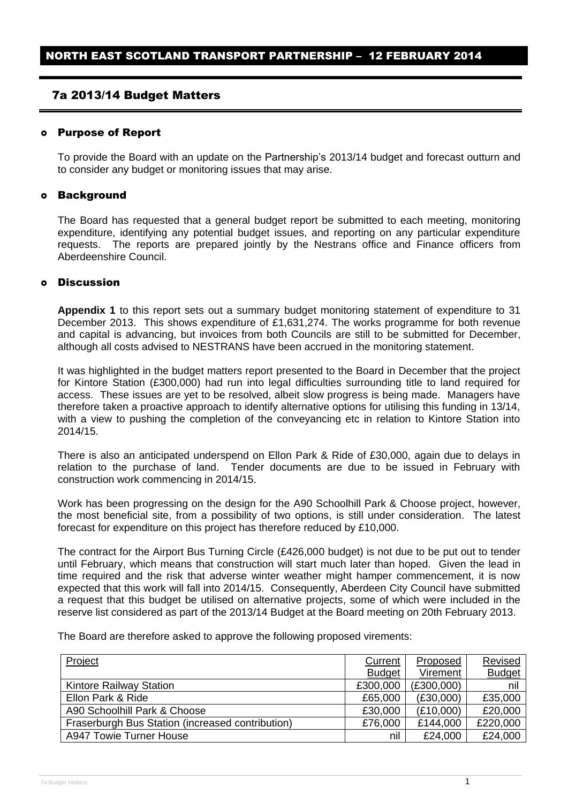## 7a 2013/14 Budget Matters

#### Purpose of Report

To provide the Board with an update on the Partnership's 2013/14 budget and forecast outturn and to consider any budget or monitoring issues that may arise.

#### o **Background**

The Board has requested that a general budget report be submitted to each meeting, monitoring expenditure, identifying any potential budget issues, and reporting on any particular expenditure requests. The reports are prepared jointly by the Nestrans office and Finance officers from Aberdeenshire Council.

#### Discussion

**Appendix 1** to this report sets out a summary budget monitoring statement of expenditure to 31 December 2013. This shows expenditure of £1,631,274. The works programme for both revenue and capital is advancing, but invoices from both Councils are still to be submitted for December, although all costs advised to NESTRANS have been accrued in the monitoring statement.

It was highlighted in the budget matters report presented to the Board in December that the project for Kintore Station (£300,000) had run into legal difficulties surrounding title to land required for access. These issues are yet to be resolved, albeit slow progress is being made. Managers have therefore taken a proactive approach to identify alternative options for utilising this funding in 13/14, with a view to pushing the completion of the conveyancing etc in relation to Kintore Station into 2014/15.

There is also an anticipated underspend on Ellon Park & Ride of £30,000, again due to delays in relation to the purchase of land. Tender documents are due to be issued in February with construction work commencing in 2014/15.

Work has been progressing on the design for the A90 Schoolhill Park & Choose project, however, the most beneficial site, from a possibility of two options, is still under consideration. The latest forecast for expenditure on this project has therefore reduced by £10,000.

The contract for the Airport Bus Turning Circle (£426,000 budget) is not due to be put out to tender until February, which means that construction will start much later than hoped. Given the lead in time required and the risk that adverse winter weather might hamper commencement, it is now expected that this work will fall into 2014/15. Consequently, Aberdeen City Council have submitted a request that this budget be utilised on alternative projects, some of which were included in the reserve list considered as part of the 2013/14 Budget at the Board meeting on 20th February 2013.

The Board are therefore asked to approve the following proposed virements:

| Project                                          | Current       | Proposed   | <b>Revised</b> |
|--------------------------------------------------|---------------|------------|----------------|
|                                                  | <b>Budget</b> | Virement   | <b>Budget</b>  |
| <b>Kintore Railway Station</b>                   | £300,000      | (E300,000) | nil            |
| Ellon Park & Ride                                | £65,000       | (E30,000)  | £35,000        |
| A90 Schoolhill Park & Choose                     | £30,000       | (E10,000)  | £20,000        |
| Fraserburgh Bus Station (increased contribution) | £76,000       | £144,000   | £220,000       |
| A947 Towie Turner House                          | nil           | £24,000    | £24,000        |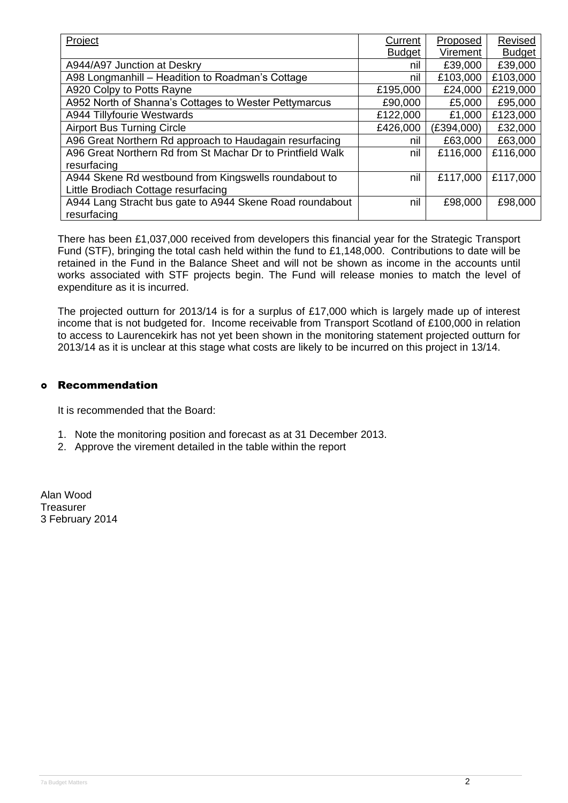| Project                                                    | Current       | Proposed   | Revised       |
|------------------------------------------------------------|---------------|------------|---------------|
|                                                            | <b>Budget</b> | Virement   | <b>Budget</b> |
| A944/A97 Junction at Deskry                                | nil           | £39,000    | £39,000       |
| A98 Longmanhill - Headition to Roadman's Cottage           | nil           | £103,000   | £103,000      |
| A920 Colpy to Potts Rayne                                  | £195,000      | £24,000    | £219,000      |
| A952 North of Shanna's Cottages to Wester Pettymarcus      | £90,000       | £5,000     | £95,000       |
| A944 Tillyfourie Westwards                                 | £122,000      | £1,000     | £123,000      |
| <b>Airport Bus Turning Circle</b>                          | £426,000      | (E394,000) | £32,000       |
| A96 Great Northern Rd approach to Haudagain resurfacing    | nil           | £63,000    | £63,000       |
| A96 Great Northern Rd from St Machar Dr to Printfield Walk | nil           | £116,000   | £116,000      |
| resurfacing                                                |               |            |               |
| A944 Skene Rd westbound from Kingswells roundabout to      | nil           | £117,000   | £117,000      |
| Little Brodiach Cottage resurfacing                        |               |            |               |
| A944 Lang Stracht bus gate to A944 Skene Road roundabout   | nil           | £98,000    | £98,000       |
| resurfacing                                                |               |            |               |

There has been £1,037,000 received from developers this financial year for the Strategic Transport Fund (STF), bringing the total cash held within the fund to £1,148,000. Contributions to date will be retained in the Fund in the Balance Sheet and will not be shown as income in the accounts until works associated with STF projects begin. The Fund will release monies to match the level of expenditure as it is incurred.

The projected outturn for 2013/14 is for a surplus of £17,000 which is largely made up of interest income that is not budgeted for. Income receivable from Transport Scotland of £100,000 in relation to access to Laurencekirk has not yet been shown in the monitoring statement projected outturn for 2013/14 as it is unclear at this stage what costs are likely to be incurred on this project in 13/14.

### Recommendation

It is recommended that the Board:

- 1. Note the monitoring position and forecast as at 31 December 2013.
- 2. Approve the virement detailed in the table within the report

Alan Wood **Treasurer** 3 February 2014